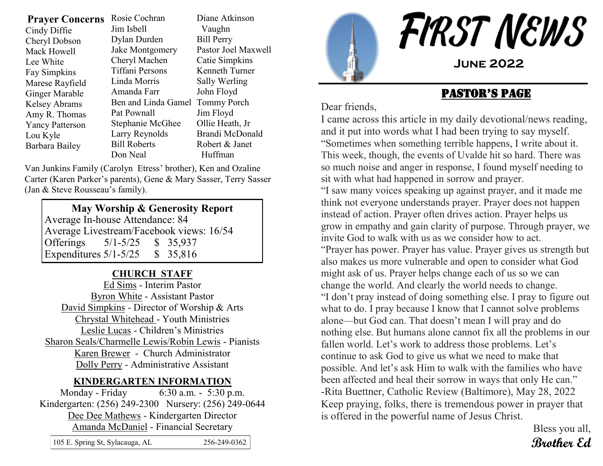| <b>Prayer Concerns</b><br>Cindy Diffie<br>Cheryl Dobson<br>Mack Howell<br>Lee White<br><b>Fay Simpkins</b><br>Marese Rayfield<br><b>Ginger Marable</b><br><b>Kelsey Abrams</b><br>Amy R. Thomas<br><b>Yancy Patterson</b><br>Lou Kyle | Rosie Cochran<br>Jim Isbell<br>Dylan Durden<br>Jake Montgomery<br>Cheryl Machen<br><b>Tiffani Persons</b><br>Linda Morris<br>Amanda Farr<br>Ben and Linda Gamel<br>Pat Pownall<br>Stephanie McGhee<br>Larry Reynolds<br><b>Bill Roberts</b> | Diane Atkinson<br>Vaughn<br><b>Bill Perry</b><br>Pastor Joel Maxwell<br>Catie Simpkins<br>Kenneth Turner<br>Sally Werling<br>John Floyd<br><b>Tommy Porch</b><br>Jim Floyd<br>Ollie Heath, Jr<br>Brandi McDonald<br>Robert & Janet |
|---------------------------------------------------------------------------------------------------------------------------------------------------------------------------------------------------------------------------------------|---------------------------------------------------------------------------------------------------------------------------------------------------------------------------------------------------------------------------------------------|------------------------------------------------------------------------------------------------------------------------------------------------------------------------------------------------------------------------------------|
| Barbara Bailey                                                                                                                                                                                                                        | Don Neal                                                                                                                                                                                                                                    | Huffman                                                                                                                                                                                                                            |
|                                                                                                                                                                                                                                       |                                                                                                                                                                                                                                             |                                                                                                                                                                                                                                    |

Van Junkins Family (Carolyn Etress' brother), Ken and Ozaline Carter (Karen Parker's parents), Gene & Mary Sasser, Terry Sasser (Jan & Steve Rousseau's family).

#### **May Worship & Generosity Report** Average In-house Attendance: 84 Average Livestream/Facebook views: 16/54 Offerings 5/1-5/25 \$ 35,937 Expenditures 5/1-5/25 \$ 35,816

#### **CHURCH STAFF**

Ed Sims - Interim Pastor Byron White - Assistant Pastor David Simpkins - Director of Worship & Arts Chrystal Whitehead - Youth Ministries Leslie Lucas - Children's Ministries Sharon Seals/Charmelle Lewis/Robin Lewis - Pianists Karen Brewer - Church Administrator Dolly Perry - Administrative Assistant

#### **KINDERGARTEN INFORMATION**

Monday - Friday 6:30 a.m. - 5:30 p.m. Kindergarten: (256) 249-2300 Nursery: (256) 249-0644 Dee Dee Mathews - Kindergarten Director Amanda McDaniel - Financial Secretary

| 105 E. Spring St, Sylacauga, AL | 256-249-0362 |
|---------------------------------|--------------|



#### Pastor's Page

Dear friends,

I came across this article in my daily devotional/news reading, and it put into words what I had been trying to say myself. "Sometimes when something terrible happens, I write about it. This week, though, the events of Uvalde hit so hard. There was so much noise and anger in response, I found myself needing to sit with what had happened in sorrow and prayer.

"I saw many voices speaking up against prayer, and it made me think not everyone understands prayer. Prayer does not happen instead of action. Prayer often drives action. Prayer helps us grow in empathy and gain clarity of purpose. Through prayer, we invite God to walk with us as we consider how to act. "Prayer has power. Prayer has value. Prayer gives us strength but

also makes us more vulnerable and open to consider what God might ask of us. Prayer helps change each of us so we can change the world. And clearly the world needs to change. "I don't pray instead of doing something else. I pray to figure out what to do. I pray because I know that I cannot solve problems alone—but God can. That doesn't mean I will pray and do nothing else. But humans alone cannot fix all the problems in our fallen world. Let's work to address those problems. Let's continue to ask God to give us what we need to make that possible. And let's ask Him to walk with the families who have been affected and heal their sorrow in ways that only He can." -Rita Buettner, Catholic Review (Baltimore), May 28, 2022 Keep praying, folks, there is tremendous power in prayer that is offered in the powerful name of Jesus Christ.

Bless you all, **Brother Ed**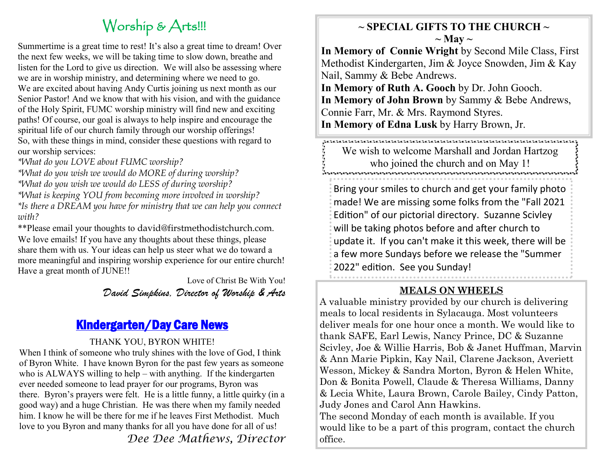# Worship & Arts!!!

Summertime is a great time to rest! It's also a great time to dream! Over the next few weeks, we will be taking time to slow down, breathe and listen for the Lord to give us direction. We will also be assessing where we are in worship ministry, and determining where we need to go. We are excited about having Andy Curtis joining us next month as our Senior Pastor! And we know that with his vision, and with the guidance of the Holy Spirit, FUMC worship ministry will find new and exciting paths! Of course, our goal is always to help inspire and encourage the spiritual life of our church family through our worship offerings! So, with these things in mind, consider these questions with regard to our worship services:

*\*What do you LOVE about FUMC worship?* 

*\*What do you wish we would do MORE of during worship?* 

*\*What do you wish we would do LESS of during worship?* 

*\*What is keeping YOU from becoming more involved in worship? \*Is there a DREAM you have for ministry that we can help you connect with?* 

\*\*Please email your thoughts to david@firstmethodistchurch.com. We love emails! If you have any thoughts about these things, please share them with us. Your ideas can help us steer what we do toward a more meaningful and inspiring worship experience for our entire church! Have a great month of JUNE!!

> Love of Christ Be With You! *David Simpkins, Director of Worship & Arts*

## Kindergarten/Day Care News

#### THANK YOU, BYRON WHITE!

When I think of someone who truly shines with the love of God, I think of Byron White. I have known Byron for the past few years as someone who is ALWAYS willing to help – with anything. If the kindergarten ever needed someone to lead prayer for our programs, Byron was there. Byron's prayers were felt. He is a little funny, a little quirky (in a good way) and a huge Christian. He was there when my family needed him. I know he will be there for me if he leaves First Methodist. Much love to you Byron and many thanks for all you have done for all of us!

*Dee Dee Mathews, Director*

#### **~ SPECIAL GIFTS TO THE CHURCH ~**  $\sim$  May  $\sim$

**In Memory of Connie Wright** by Second Mile Class, First Methodist Kindergarten, Jim & Joyce Snowden, Jim & Kay Nail, Sammy & Bebe Andrews. **In Memory of Ruth A. Gooch** by Dr. John Gooch. **In Memory of John Brown** by Sammy & Bebe Andrews, Connie Farr, Mr. & Mrs. Raymond Styres. **In Memory of Edna Lusk** by Harry Brown, Jr.

We wish to welcome Marshall and Jordan Hartzog who joined the church and on May 1!

Bring your smiles to church and get your family photo made! We are missing some folks from the "Fall 2021 Edition" of our pictorial directory. Suzanne Scivley will be taking photos before and after church to update it. If you can't make it this week, there will be a few more Sundays before we release the "Summer 2022" edition. See you Sunday!

#### **MEALS ON WHEELS**

A valuable ministry provided by our church is delivering meals to local residents in Sylacauga. Most volunteers deliver meals for one hour once a month. We would like to thank SAFE, Earl Lewis, Nancy Prince, DC & Suzanne Scivley, Joe & Willie Harris, Bob & Janet Huffman, Marvin & Ann Marie Pipkin, Kay Nail, Clarene Jackson, Averiett Wesson, Mickey & Sandra Morton, Byron & Helen White, Don & Bonita Powell, Claude & Theresa Williams, Danny & Lecia White, Laura Brown, Carole Bailey, Cindy Patton, Judy Jones and Carol Ann Hawkins. The second Monday of each month is available. If you would like to be a part of this program, contact the church office.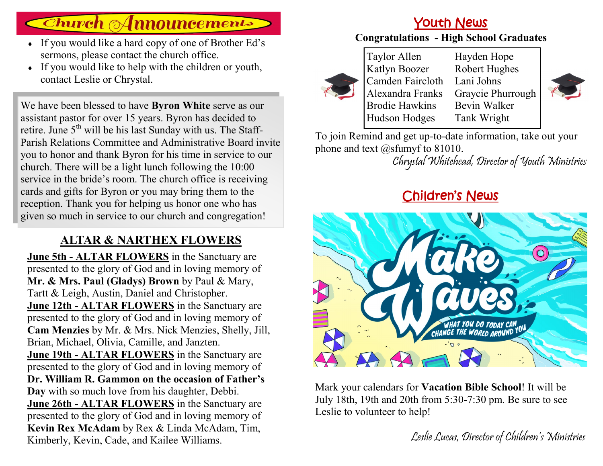# **Church Announcements**

- If you would like a hard copy of one of Brother Ed's sermons, please contact the church office.
- $\bullet$  If you would like to help with the children or youth, contact Leslie or Chrystal.

We have been blessed to have **Byron White** serve as our assistant pastor for over 15 years. Byron has decided to retire. June  $5<sup>th</sup>$  will be his last Sunday with us. The Staff-Parish Relations Committee and Administrative Board invite you to honor and thank Byron for his time in service to our church. There will be a light lunch following the 10:00 service in the bride's room. The church office is receiving cards and gifts for Byron or you may bring them to the reception. Thank you for helping us honor one who has given so much in service to our church and congregation!

### **ALTAR & NARTHEX FLOWERS**

**June 5th - ALTAR FLOWERS** in the Sanctuary are presented to the glory of God and in loving memory of **Mr. & Mrs. Paul (Gladys) Brown** by Paul & Mary, Tartt & Leigh, Austin, Daniel and Christopher. **June 12th - ALTAR FLOWERS** in the Sanctuary are presented to the glory of God and in loving memory of **Cam Menzies** by Mr. & Mrs. Nick Menzies, Shelly, Jill, Brian, Michael, Olivia, Camille, and Janzten. **June 19th - ALTAR FLOWERS** in the Sanctuary are presented to the glory of God and in loving memory of **Dr. William R. Gammon on the occasion of Father's Day** with so much love from his daughter, Debbi. **June 26th - ALTAR FLOWERS** in the Sanctuary are presented to the glory of God and in loving memory of **Kevin Rex McAdam** by Rex & Linda McAdam, Tim, Kimberly, Kevin, Cade, and Kailee Williams.

## Youth News

#### **Congratulations - High School Graduates**



Taylor Allen Katlyn Boozer Camden Faircloth Alexandra Franks Brodie Hawkins Hudson Hodges Hayden Hope Robert Hughes Lani Johns Graycie Phurrough Bevin Walker Tank Wright



To join Remind and get up-to-date information, take out your phone and text @sfumyf to 81010.

Chrystal Whitehead, Director of Youth Ministries

# Children's News



Mark your calendars for **Vacation Bible School**! It will be July 18th, 19th and 20th from 5:30-7:30 pm. Be sure to see Leslie to volunteer to help!

Leslie Lucas, Director of Children's Ministries